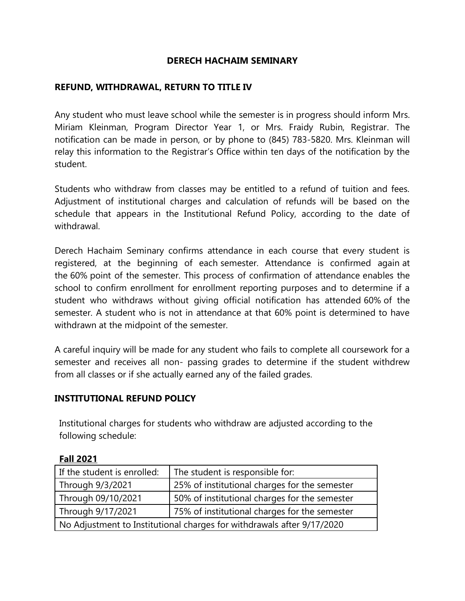### **DERECH HACHAIM SEMINARY**

## **REFUND, WITHDRAWAL, RETURN TO TITLE IV**

Any student who must leave school while the semester is in progress should inform Mrs. Miriam Kleinman, Program Director Year 1, or Mrs. Fraidy Rubin, Registrar. The notification can be made in person, or by phone to (845) 783-5820. Mrs. Kleinman will relay this information to the Registrar's Office within ten days of the notification by the student.

Students who withdraw from classes may be entitled to a refund of tuition and fees. Adjustment of institutional charges and calculation of refunds will be based on the schedule that appears in the Institutional Refund Policy, according to the date of withdrawal.

Derech Hachaim Seminary confirms attendance in each course that every student is registered, at the beginning of each semester. Attendance is confirmed again at the 60% point of the semester. This process of confirmation of attendance enables the school to confirm enrollment for enrollment reporting purposes and to determine if a student who withdraws without giving official notification has attended 60% of the semester. A student who is not in attendance at that 60% point is determined to have withdrawn at the midpoint of the semester.

A careful inquiry will be made for any student who fails to complete all coursework for a semester and receives all non- passing grades to determine if the student withdrew from all classes or if she actually earned any of the failed grades.

## **INSTITUTIONAL REFUND POLICY**

Institutional charges for students who withdraw are adjusted according to the following schedule:

| If the student is enrolled:                                            | The student is responsible for:               |
|------------------------------------------------------------------------|-----------------------------------------------|
| Through 9/3/2021                                                       | 25% of institutional charges for the semester |
| Through 09/10/2021                                                     | 50% of institutional charges for the semester |
| Through 9/17/2021                                                      | 75% of institutional charges for the semester |
| No Adjustment to Institutional charges for withdrawals after 9/17/2020 |                                               |

#### **Fall 2021**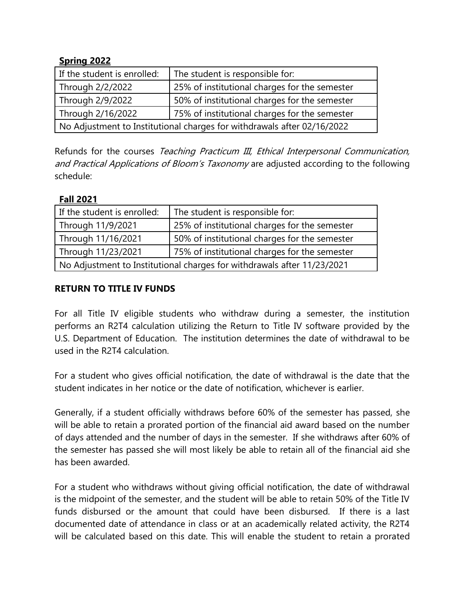# **Spring 2022**

| If the student is enrolled:                                             | The student is responsible for:               |
|-------------------------------------------------------------------------|-----------------------------------------------|
| Through 2/2/2022                                                        | 25% of institutional charges for the semester |
| Through 2/9/2022                                                        | 50% of institutional charges for the semester |
| Through 2/16/2022                                                       | 75% of institutional charges for the semester |
| No Adjustment to Institutional charges for withdrawals after 02/16/2022 |                                               |

Refunds for the courses Teaching Practicum III, Ethical Interpersonal Communication, and Practical Applications of Bloom's Taxonomy are adjusted according to the following schedule:

#### **Fall 2021**

| If the student is enrolled:                                             | The student is responsible for:               |
|-------------------------------------------------------------------------|-----------------------------------------------|
| Through 11/9/2021                                                       | 25% of institutional charges for the semester |
| Through 11/16/2021                                                      | 50% of institutional charges for the semester |
| Through 11/23/2021                                                      | 75% of institutional charges for the semester |
| No Adjustment to Institutional charges for withdrawals after 11/23/2021 |                                               |

## **RETURN TO TITLE IV FUNDS**

For all Title IV eligible students who withdraw during a semester, the institution performs an R2T4 calculation utilizing the Return to Title IV software provided by the U.S. Department of Education. The institution determines the date of withdrawal to be used in the R2T4 calculation.

For a student who gives official notification, the date of withdrawal is the date that the student indicates in her notice or the date of notification, whichever is earlier.

Generally, if a student officially withdraws before 60% of the semester has passed, she will be able to retain a prorated portion of the financial aid award based on the number of days attended and the number of days in the semester. If she withdraws after 60% of the semester has passed she will most likely be able to retain all of the financial aid she has been awarded.

For a student who withdraws without giving official notification, the date of withdrawal is the midpoint of the semester, and the student will be able to retain 50% of the Title IV funds disbursed or the amount that could have been disbursed. If there is a last documented date of attendance in class or at an academically related activity, the R2T4 will be calculated based on this date. This will enable the student to retain a prorated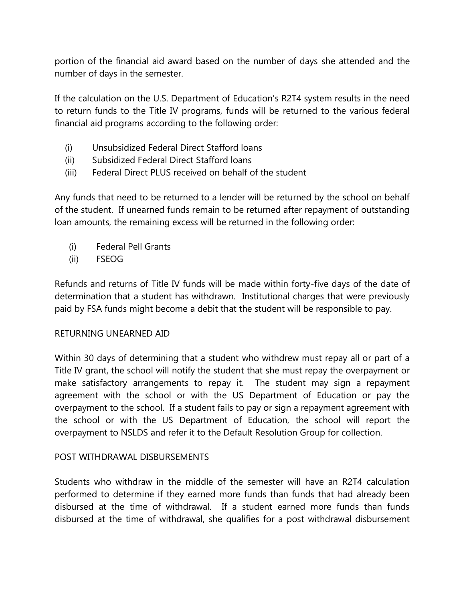portion of the financial aid award based on the number of days she attended and the number of days in the semester.

If the calculation on the U.S. Department of Education's R2T4 system results in the need to return funds to the Title IV programs, funds will be returned to the various federal financial aid programs according to the following order:

- (i) Unsubsidized Federal Direct Stafford loans
- (ii) Subsidized Federal Direct Stafford loans
- (iii) Federal Direct PLUS received on behalf of the student

Any funds that need to be returned to a lender will be returned by the school on behalf of the student. If unearned funds remain to be returned after repayment of outstanding loan amounts, the remaining excess will be returned in the following order:

- (i) Federal Pell Grants
- (ii) FSEOG

Refunds and returns of Title IV funds will be made within forty-five days of the date of determination that a student has withdrawn. Institutional charges that were previously paid by FSA funds might become a debit that the student will be responsible to pay.

## RETURNING UNEARNED AID

Within 30 days of determining that a student who withdrew must repay all or part of a Title IV grant, the school will notify the student that she must repay the overpayment or make satisfactory arrangements to repay it. The student may sign a repayment agreement with the school or with the US Department of Education or pay the overpayment to the school. If a student fails to pay or sign a repayment agreement with the school or with the US Department of Education, the school will report the overpayment to NSLDS and refer it to the Default Resolution Group for collection.

## POST WITHDRAWAL DISBURSEMENTS

Students who withdraw in the middle of the semester will have an R2T4 calculation performed to determine if they earned more funds than funds that had already been disbursed at the time of withdrawal. If a student earned more funds than funds disbursed at the time of withdrawal, she qualifies for a post withdrawal disbursement